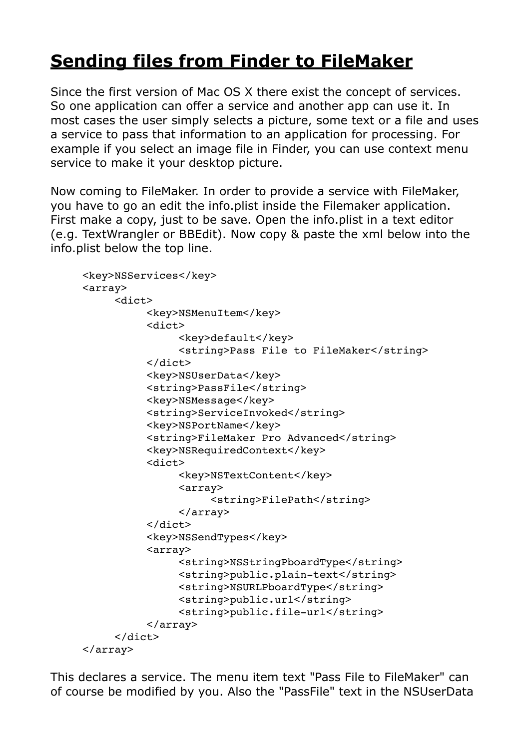## **[Sending files from Finder to FileMaker](http://www.mbsplugins.de/archive/2014-10-18/Sending_files_from_Finder_to_F)**

Since the first version of Mac OS X there exist the concept of services. So one application can offer a service and another app can use it. In most cases the user simply selects a picture, some text or a file and uses a service to pass that information to an application for processing. For example if you select an image file in Finder, you can use context menu service to make it your desktop picture.

Now coming to FileMaker. In order to provide a service with FileMaker, you have to go an edit the info.plist inside the Filemaker application. First make a copy, just to be save. Open the info.plist in a text editor (e.g. TextWrangler or BBEdit). Now copy & paste the xml below into the info.plist below the top line.

```
<key>NSServices</key>
<array>
     <dict>
          <key>NSMenuItem</key>
           <dict>
                <key>default</key>
                <string>Pass File to FileMaker</string>
           </dict>
           <key>NSUserData</key>
          <string>PassFile</string>
           <key>NSMessage</key>
          <string>ServiceInvoked</string>
           <key>NSPortName</key>
           <string>FileMaker Pro Advanced</string>
           <key>NSRequiredContext</key>
           <dict>
                <key>NSTextContent</key>
                <array>
                     <string>FilePath</string>
                !!!! </array>
           \langledict>
           <key>NSSendTypes</key>
           <array>
                !!!! <string>NSStringPboardType</string>
                <string>public.plain-text</string>
                <string>NSURLPboardType</string>
                <string>public.url</string>
                <string>public.file-url</string>
           !!! </array>
     \langle dict>
</array>
```
This declares a service. The menu item text "Pass File to FileMaker" can of course be modified by you. Also the "PassFile" text in the NSUserData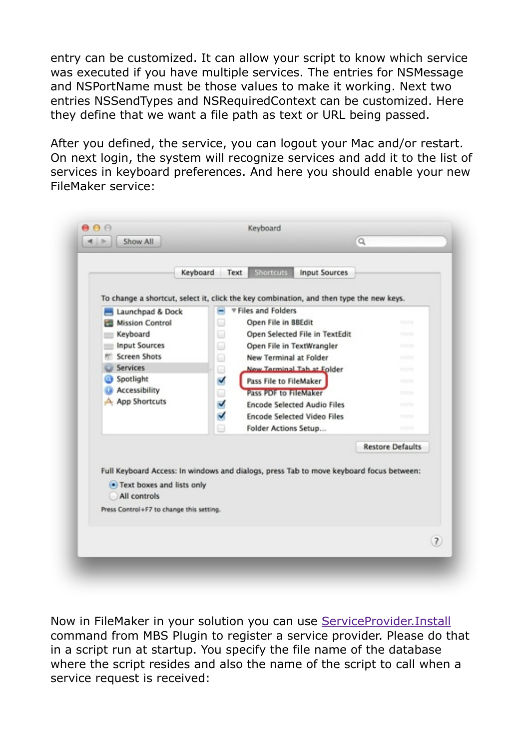entry can be customized. It can allow your script to know which service was executed if you have multiple services. The entries for NSMessage and NSPortName must be those values to make it working. Next two entries NSSendTypes and NSRequiredContext can be customized. Here they define that we want a file path as text or URL being passed.

After you defined, the service, you can logout your Mac and/or restart. On next login, the system will recognize services and add it to the list of services in keyboard preferences. And here you should enable your new FileMaker service:



Now in FileMaker in your solution you can use [ServiceProvider.Install](http://www.mbsplugins.eu/ServiceProviderInstall.shtml) command from MBS Plugin to register a service provider. Please do that in a script run at startup. You specify the file name of the database where the script resides and also the name of the script to call when a service request is received: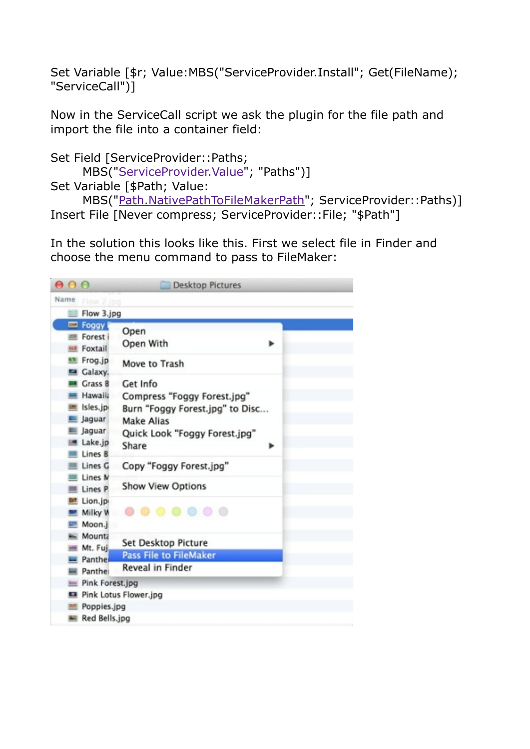Set Variable [\$r; Value:MBS("ServiceProvider.Install"; Get(FileName); "ServiceCall")]

Now in the ServiceCall script we ask the plugin for the file path and import the file into a container field:

```
Set Field [ServiceProvider::Paths;
      MBS("ServiceProvider.Value"; "Paths")] 
Set Variable [$Path; Value:
```
 MBS(["Path.NativePathToFileMakerPath](http://www.mbsplugins.eu/PathNativePathToFilemakerPath.shtml)"; ServiceProvider::Paths)] Insert File [Never compress; ServiceProvider::File; "\$Path"]

In the solution this looks like this. First we select file in Finder and choose the menu command to pass to FileMaker: